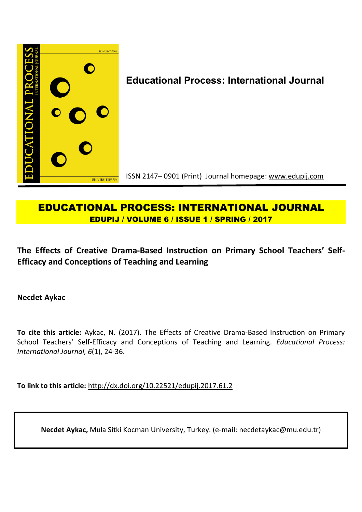

# **EDUCATIONAL PROCESS: INTERNATIONAL JOURNAL EDUPIJ / VOLUME 6 / ISSUE 1 / SPRING / 2017**

**The Effects of Creative Drama-Based Instruction on Primary School Teachers' Self-Efficacy and Conceptions of Teaching and Learning**

**Necdet Aykac** 

**To cite this article:** Aykac, N. (2017). The Effects of Creative Drama-Based Instruction on Primary School Teachers' Self-Efficacy and Conceptions of Teaching and Learning. *Educational Process: International Journal, 6*(1), 24-36.

**To link to this article:** http://dx.doi.org/10.22521/edupij.2017.61.2

**Necdet Aykac,** Mula Sitki Kocman University, Turkey. (e-mail: necdetaykac@mu.edu.tr)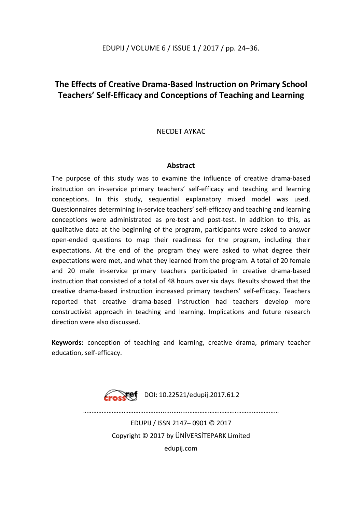## **The Effects of Creative Drama-Based Instruction on Primary School Teachers' Self-Efficacy and Conceptions of Teaching and Learning**

## NECDET AYKAC

#### **Abstract**

The purpose of this study was to examine the influence of creative drama-based instruction on in-service primary teachers' self-efficacy and teaching and learning conceptions. In this study, sequential explanatory mixed model was used. Questionnaires determining in-service teachers' self-efficacy and teaching and learning conceptions were administrated as pre-test and post-test. In addition to this, as qualitative data at the beginning of the program, participants were asked to answer open-ended questions to map their readiness for the program, including their expectations. At the end of the program they were asked to what degree their expectations were met, and what they learned from the program. A total of 20 female and 20 male in-service primary teachers participated in creative drama-based instruction that consisted of a total of 48 hours over six days. Results showed that the creative drama-based instruction increased primary teachers' self-efficacy. Teachers reported that creative drama-based instruction had teachers develop more constructivist approach in teaching and learning. Implications and future research direction were also discussed.

**Keywords:** conception of teaching and learning, creative drama, primary teacher education, self-efficacy.



EDUPIJ / ISSN 2147– 0901 © 2017 Copyright © 2017 by ÜNİVERSİTEPARK Limited edupij.com

………………………………………........….....………………………………...……………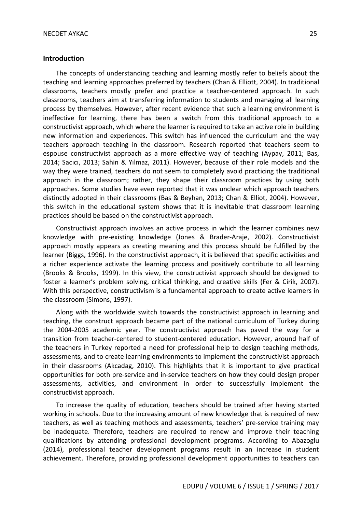#### **Introduction**

The concepts of understanding teaching and learning mostly refer to beliefs about the teaching and learning approaches preferred by teachers (Chan & Elliott, 2004). In traditional classrooms, teachers mostly prefer and practice a teacher-centered approach. In such classrooms, teachers aim at transferring information to students and managing all learning process by themselves. However, after recent evidence that such a learning environment is ineffective for learning, there has been a switch from this traditional approach to a constructivist approach, which where the learner is required to take an active role in building new information and experiences. This switch has influenced the curriculum and the way teachers approach teaching in the classroom. Research reported that teachers seem to espouse constructivist approach as a more effective way of teaching (Aypay, 2011; Bas, 2014; Sacıcı, 2013; Sahin & Yılmaz, 2011). However, because of their role models and the way they were trained, teachers do not seem to completely avoid practicing the traditional approach in the classroom; rather, they shape their classroom practices by using both approaches. Some studies have even reported that it was unclear which approach teachers distinctly adopted in their classrooms (Bas & Beyhan, 2013; Chan & Elliot, 2004). However, this switch in the educational system shows that it is inevitable that classroom learning practices should be based on the constructivist approach.

Constructivist approach involves an active process in which the learner combines new knowledge with pre-existing knowledge (Jones & Brader-Araje, 2002). Constructivist approach mostly appears as creating meaning and this process should be fulfilled by the learner (Biggs, 1996). In the constructivist approach, it is believed that specific activities and a richer experience activate the learning process and positively contribute to all learning (Brooks & Brooks, 1999). In this view, the constructivist approach should be designed to foster a learner's problem solving, critical thinking, and creative skills (Fer & Cirik, 2007). With this perspective, constructivism is a fundamental approach to create active learners in the classroom (Simons, 1997).

Along with the worldwide switch towards the constructivist approach in learning and teaching, the construct approach became part of the national curriculum of Turkey during the 2004-2005 academic year. The constructivist approach has paved the way for a transition from teacher-centered to student-centered education. However, around half of the teachers in Turkey reported a need for professional help to design teaching methods, assessments, and to create learning environments to implement the constructivist approach in their classrooms (Akcadag, 2010). This highlights that it is important to give practical opportunities for both pre-service and in-service teachers on how they could design proper assessments, activities, and environment in order to successfully implement the constructivist approach.

To increase the quality of education, teachers should be trained after having started working in schools. Due to the increasing amount of new knowledge that is required of new teachers, as well as teaching methods and assessments, teachers' pre-service training may be inadequate. Therefore, teachers are required to renew and improve their teaching qualifications by attending professional development programs. According to Abazoglu (2014), professional teacher development programs result in an increase in student achievement. Therefore, providing professional development opportunities to teachers can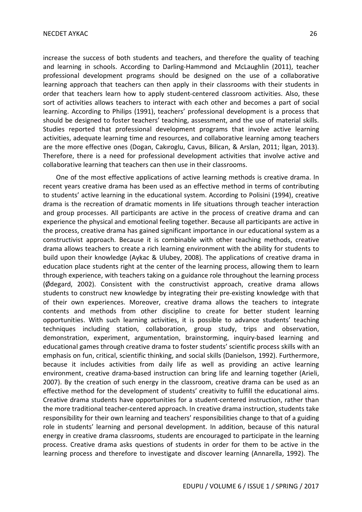increase the success of both students and teachers, and therefore the quality of teaching and learning in schools. According to Darling-Hammond and McLaughlin (2011), teacher professional development programs should be designed on the use of a collaborative learning approach that teachers can then apply in their classrooms with their students in order that teachers learn how to apply student-centered classroom activities. Also, these sort of activities allows teachers to interact with each other and becomes a part of social learning. According to Philips (1991), teachers' professional development is a process that should be designed to foster teachers' teaching, assessment, and the use of material skills. Studies reported that professional development programs that involve active learning activities, adequate learning time and resources, and collaborative learning among teachers are the more effective ones (Dogan, Cakıroglu, Cavus, Bilican, & Arslan, 2011; İlgan, 2013). Therefore, there is a need for professional development activities that involve active and collaborative learning that teachers can then use in their classrooms.

One of the most effective applications of active learning methods is creative drama. In recent years creative drama has been used as an effective method in terms of contributing to students' active learning in the educational system. According to Polisini (1994), creative drama is the recreation of dramatic moments in life situations through teacher interaction and group processes. All participants are active in the process of creative drama and can experience the physical and emotional feeling together. Because all participants are active in the process, creative drama has gained significant importance in our educational system as a constructivist approach. Because it is combinable with other teaching methods, creative drama allows teachers to create a rich learning environment with the ability for students to build upon their knowledge (Aykac & Ulubey, 2008). The applications of creative drama in education place students right at the center of the learning process, allowing them to learn through experience, with teachers taking on a guidance role throughout the learning process (Ødegard, 2002). Consistent with the constructivist approach, creative drama allows students to construct new knowledge by integrating their pre-existing knowledge with that of their own experiences. Moreover, creative drama allows the teachers to integrate contents and methods from other discipline to create for better student learning opportunities. With such learning activities, it is possible to advance students' teaching techniques including station, collaboration, group study, trips and observation, demonstration, experiment, argumentation, brainstorming, inquiry-based learning and educational games through creative drama to foster students' scientific process skills with an emphasis on fun, critical, scientific thinking, and social skills (Danielson, 1992). Furthermore, because it includes activities from daily life as well as providing an active learning environment, creative drama-based instruction can bring life and learning together (Arieli, 2007). By the creation of such energy in the classroom, creative drama can be used as an effective method for the development of students' creativity to fulfill the educational aims. Creative drama students have opportunities for a student-centered instruction, rather than the more traditional teacher-centered approach. In creative drama instruction, students take responsibility for their own learning and teachers' responsibilities change to that of a guiding role in students' learning and personal development. In addition, because of this natural energy in creative drama classrooms, students are encouraged to participate in the learning process. Creative drama asks questions of students in order for them to be active in the learning process and therefore to investigate and discover learning (Annarella, 1992). The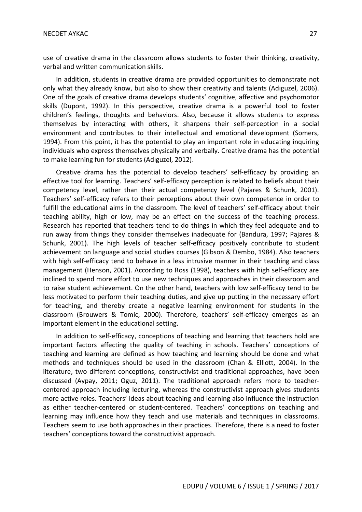use of creative drama in the classroom allows students to foster their thinking, creativity, verbal and written communication skills.

In addition, students in creative drama are provided opportunities to demonstrate not only what they already know, but also to show their creativity and talents (Adıguzel, 2006). One of the goals of creative drama develops students' cognitive, affective and psychomotor skills (Dupont, 1992). In this perspective, creative drama is a powerful tool to foster children's feelings, thoughts and behaviors. Also, because it allows students to express themselves by interacting with others, it sharpens their self-perception in a social environment and contributes to their intellectual and emotional development (Somers, 1994). From this point, it has the potential to play an important role in educating inquiring individuals who express themselves physically and verbally. Creative drama has the potential to make learning fun for students (Adıguzel, 2012).

Creative drama has the potential to develop teachers' self-efficacy by providing an effective tool for learning. Teachers' self-efficacy perception is related to beliefs about their competency level, rather than their actual competency level (Pajares & Schunk, 2001). Teachers' self-efficacy refers to their perceptions about their own competence in order to fulfill the educational aims in the classroom. The level of teachers' self-efficacy about their teaching ability, high or low, may be an effect on the success of the teaching process. Research has reported that teachers tend to do things in which they feel adequate and to run away from things they consider themselves inadequate for (Bandura, 1997; Pajares & Schunk, 2001). The high levels of teacher self-efficacy positively contribute to student achievement on language and social studies courses (Gibson & Dembo, 1984). Also teachers with high self-efficacy tend to behave in a less intrusive manner in their teaching and class management (Henson, 2001). According to Ross (1998), teachers with high self-efficacy are inclined to spend more effort to use new techniques and approaches in their classroom and to raise student achievement. On the other hand, teachers with low self-efficacy tend to be less motivated to perform their teaching duties, and give up putting in the necessary effort for teaching, and thereby create a negative learning environment for students in the classroom (Brouwers & Tomic, 2000). Therefore, teachers' self-efficacy emerges as an important element in the educational setting.

In addition to self-efficacy, conceptions of teaching and learning that teachers hold are important factors affecting the quality of teaching in schools. Teachers' conceptions of teaching and learning are defined as how teaching and learning should be done and what methods and techniques should be used in the classroom (Chan & Elliott, 2004). In the literature, two different conceptions, constructivist and traditional approaches, have been discussed (Aypay, 2011; Oguz, 2011). The traditional approach refers more to teachercentered approach including lecturing, whereas the constructivist approach gives students more active roles. Teachers' ideas about teaching and learning also influence the instruction as either teacher-centered or student-centered. Teachers' conceptions on teaching and learning may influence how they teach and use materials and techniques in classrooms. Teachers seem to use both approaches in their practices. Therefore, there is a need to foster teachers' conceptions toward the constructivist approach.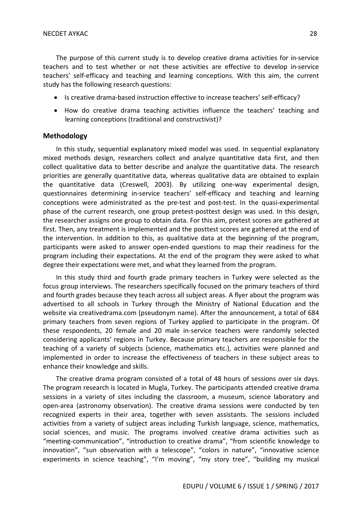The purpose of this current study is to develop creative drama activities for in-service teachers and to test whether or not these activities are effective to develop in-service teachers' self-efficacy and teaching and learning conceptions. With this aim, the current study has the following research questions:

- Is creative drama-based instruction effective to increase teachers' self-efficacy?
- How do creative drama teaching activities influence the teachers' teaching and learning conceptions (traditional and constructivist)?

#### **Methodology**

In this study, sequential explanatory mixed model was used. In sequential explanatory mixed methods design, researchers collect and analyze quantitative data first, and then collect qualitative data to better describe and analyze the quantitative data. The research priorities are generally quantitative data, whereas qualitative data are obtained to explain the quantitative data (Creswell, 2003). By utilizing one-way experimental design, questionnaires determining in-service teachers' self-efficacy and teaching and learning conceptions were administrated as the pre-test and post-test. In the quasi-experimental phase of the current research, one group pretest-posttest design was used. In this design, the researcher assigns one group to obtain data. For this aim, pretest scores are gathered at first. Then, any treatment is implemented and the posttest scores are gathered at the end of the intervention. In addition to this, as qualitative data at the beginning of the program, participants were asked to answer open-ended questions to map their readiness for the program including their expectations. At the end of the program they were asked to what degree their expectations were met, and what they learned from the program.

In this study third and fourth grade primary teachers in Turkey were selected as the focus group interviews. The researchers specifically focused on the primary teachers of third and fourth grades because they teach across all subject areas. A flyer about the program was advertised to all schools in Turkey through the Ministry of National Education and the website via creativedrama.com (pseudonym name). After the announcement, a total of 684 primary teachers from seven regions of Turkey applied to participate in the program. Of these respondents, 20 female and 20 male in-service teachers were randomly selected considering applicants' regions in Turkey. Because primary teachers are responsible for the teaching of a variety of subjects (science, mathematics etc.), activities were planned and implemented in order to increase the effectiveness of teachers in these subject areas to enhance their knowledge and skills.

The creative drama program consisted of a total of 48 hours of sessions over six days. The program research is located in Mugla, Turkey. The participants attended creative drama sessions in a variety of sites including the classroom, a museum, science laboratory and open-area (astronomy observation). The creative drama sessions were conducted by ten recognized experts in their area, together with seven assistants. The sessions included activities from a variety of subject areas including Turkish language, science, mathematics, social sciences, and music. The programs involved creative drama activities such as "meeting-communication", "introduction to creative drama", "from scientific knowledge to innovation", "sun observation with a telescope", "colors in nature", "innovative science experiments in science teaching", "I'm moving", "my story tree", "building my musical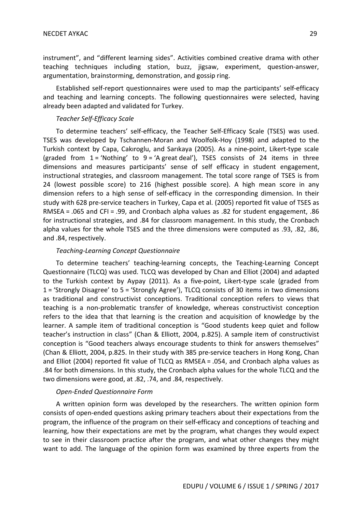instrument", and "different learning sides". Activities combined creative drama with other teaching techniques including station, buzz, jigsaw, experiment, question-answer, argumentation, brainstorming, demonstration, and gossip ring.

Established self-report questionnaires were used to map the participants' self-efficacy and teaching and learning concepts. The following questionnaires were selected, having already been adapted and validated for Turkey.

#### *Teacher Self-Efficacy Scale*

To determine teachers' self-efficacy, the Teacher Self-Efficacy Scale (TSES) was used. TSES was developed by Tschannen-Moran and Woolfolk-Hoy (1998) and adapted to the Turkish context by Capa, Cakıroglu, and Sarıkaya (2005). As a nine-point, Likert-type scale (graded from  $1 = 'Notbing'$  to  $9 = 'A$  great deal'), TSES consists of 24 items in three dimensions and measures participants' sense of self efficacy in student engagement, instructional strategies, and classroom management. The total score range of TSES is from 24 (lowest possible score) to 216 (highest possible score). A high mean score in any dimension refers to a high sense of self-efficacy in the corresponding dimension. In their study with 628 pre-service teachers in Turkey, Capa et al. (2005) reported fit value of TSES as RMSEA = .065 and CFI = .99, and Cronbach alpha values as .82 for student engagement, .86 for instructional strategies, and .84 for classroom management. In this study, the Cronbach alpha values for the whole TSES and the three dimensions were computed as .93, .82, .86, and .84, respectively.

### *Teaching-Learning Concept Questionnaire*

To determine teachers' teaching-learning concepts, the Teaching-Learning Concept Questionnaire (TLCQ) was used. TLCQ was developed by Chan and Elliot (2004) and adapted to the Turkish context by Aypay (2011). As a five-point, Likert-type scale (graded from 1 = 'Strongly Disagree' to 5 = 'Strongly Agree'), TLCQ consists of 30 items in two dimensions as traditional and constructivist conceptions. Traditional conception refers to views that teaching is a non-problematic transfer of knowledge, whereas constructivist conception refers to the idea that that learning is the creation and acquisition of knowledge by the learner. A sample item of traditional conception is "Good students keep quiet and follow teacher's instruction in class" (Chan & Elliott, 2004, p.825). A sample item of constructivist conception is "Good teachers always encourage students to think for answers themselves" (Chan & Elliott, 2004, p.825. In their study with 385 pre-service teachers in Hong Kong, Chan and Elliot (2004) reported fit value of TLCQ as RMSEA = .054, and Cronbach alpha values as .84 for both dimensions. In this study, the Cronbach alpha values for the whole TLCQ and the two dimensions were good, at .82, .74, and .84, respectively.

#### *Open-Ended Questionnaire Form*

A written opinion form was developed by the researchers. The written opinion form consists of open-ended questions asking primary teachers about their expectations from the program, the influence of the program on their self-efficacy and conceptions of teaching and learning, how their expectations are met by the program, what changes they would expect to see in their classroom practice after the program, and what other changes they might want to add. The language of the opinion form was examined by three experts from the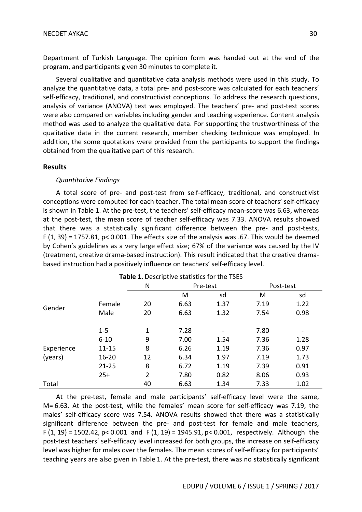Several qualitative and quantitative data analysis methods were used in this study. To analyze the quantitative data, a total pre- and post-score was calculated for each teachers' self-efficacy, traditional, and constructivist conceptions. To address the research questions, analysis of variance (ANOVA) test was employed. The teachers' pre- and post-test scores were also compared on variables including gender and teaching experience. Content analysis method was used to analyze the qualitative data. For supporting the trustworthiness of the qualitative data in the current research, member checking technique was employed. In addition, the some quotations were provided from the participants to support the findings obtained from the qualitative part of this research.

#### **Results**

#### *Quantitative Findings*

A total score of pre- and post-test from self-efficacy, traditional, and constructivist conceptions were computed for each teacher. The total mean score of teachers' self-efficacy is shown in Table 1. At the pre-test, the teachers' self-efficacy mean-score was 6.63, whereas at the post-test, the mean score of teacher self-efficacy was 7.33. ANOVA results showed that there was a statistically significant difference between the pre- and post-tests,  $F(1, 39) = 1757.81$ ,  $p < 0.001$ . The effects size of the analysis was .67. This would be deemed by Cohen's guidelines as a very large effect size; 67% of the variance was caused by the IV (treatment, creative drama-based instruction). This result indicated that the creative dramabased instruction had a positively influence on teachers' self-efficacy level.

| Table 1. Descriptive statistics for the TSES |           |                |          |      |           |                              |  |  |  |
|----------------------------------------------|-----------|----------------|----------|------|-----------|------------------------------|--|--|--|
|                                              |           | N              | Pre-test |      | Post-test |                              |  |  |  |
|                                              |           |                | M        | sd   | M         | sd                           |  |  |  |
| Gender                                       | Female    | 20             | 6.63     | 1.37 | 7.19      | 1.22                         |  |  |  |
|                                              | Male      | 20             | 6.63     | 1.32 | 7.54      | 0.98                         |  |  |  |
|                                              |           |                |          |      |           |                              |  |  |  |
|                                              | $1 - 5$   | 1              | 7.28     |      | 7.80      | $\qquad \qquad \blacksquare$ |  |  |  |
|                                              | $6 - 10$  | 9              | 7.00     | 1.54 | 7.36      | 1.28                         |  |  |  |
| Experience                                   | $11 - 15$ | 8              | 6.26     | 1.19 | 7.36      | 0.97                         |  |  |  |
| (years)                                      | $16 - 20$ | 12             | 6.34     | 1.97 | 7.19      | 1.73                         |  |  |  |
|                                              | $21 - 25$ | 8              | 6.72     | 1.19 | 7.39      | 0.91                         |  |  |  |
|                                              | $25+$     | $\overline{2}$ | 7.80     | 0.82 | 8.06      | 0.93                         |  |  |  |
| Total                                        |           | 40             | 6.63     | 1.34 | 7.33      | 1.02                         |  |  |  |

At the pre-test, female and male participants' self-efficacy level were the same, M= 6.63. At the post-test, while the females' mean score for self-efficacy was 7.19, the males' self-efficacy score was 7.54. ANOVA results showed that there was a statistically significant difference between the pre- and post-test for female and male teachers, F  $(1, 19)$  = 1502.42, p< 0.001 and F  $(1, 19)$  = 1945.91, p< 0.001, respectively. Although the post-test teachers' self-efficacy level increased for both groups, the increase on self-efficacy level was higher for males over the females. The mean scores of self-efficacy for participants' teaching years are also given in Table 1. At the pre-test, there was no statistically significant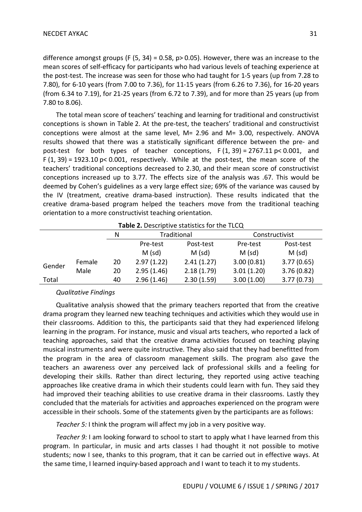difference amongst groups (F  $(5, 34) = 0.58$ , p $> 0.05$ ). However, there was an increase to the mean scores of self-efficacy for participants who had various levels of teaching experience at the post-test. The increase was seen for those who had taught for 1-5 years (up from 7.28 to 7.80), for 6-10 years (from 7.00 to 7.36), for 11-15 years (from 6.26 to 7.36), for 16-20 years (from 6.34 to 7.19), for 21-25 years (from 6.72 to 7.39), and for more than 25 years (up from 7.80 to 8.06).

The total mean score of teachers' teaching and learning for traditional and constructivist conceptions is shown in Table 2. At the pre-test, the teachers' traditional and constructivist conceptions were almost at the same level, M= 2.96 and M= 3.00, respectively. ANOVA results showed that there was a statistically significant difference between the pre- and post-test for both types of teacher conceptions,  $F(1, 39) = 2767.11 \text{ p} < 0.001$ , and  $F(1, 39) = 1923.10 \text{ p} < 0.001$ , respectively. While at the post-test, the mean score of the teachers' traditional conceptions decreased to 2.30, and their mean score of constructivist conceptions increased up to 3.77. The effects size of the analysis was .67. This would be deemed by Cohen's guidelines as a very large effect size; 69% of the variance was caused by the IV (treatment, creative drama-based instruction). These results indicated that the creative drama-based program helped the teachers move from the traditional teaching orientation to a more constructivist teaching orientation.

|        |        | N  | Traditional |            | Constructivist |            |  |  |  |  |
|--------|--------|----|-------------|------------|----------------|------------|--|--|--|--|
|        |        |    | Pre-test    | Post-test  | Pre-test       | Post-test  |  |  |  |  |
|        |        |    | $M$ (sd)    | $M$ (sd)   | $M$ (sd)       | $M$ (sd)   |  |  |  |  |
| Gender | Female | 20 | 2.97(1.22)  | 2.41(1.27) | 3.00(0.81)     | 3.77(0.65) |  |  |  |  |
|        | Male   | 20 | 2.95(1.46)  | 2.18(1.79) | 3.01(1.20)     | 3.76(0.82) |  |  |  |  |
| Total  |        | 40 | 2.96(1.46)  | 2.30(1.59) | 3.00(1.00)     | 3.77(0.73) |  |  |  |  |

**Table 2.** Descriptive statistics for the TLCO

## *Qualitative Findings*

Qualitative analysis showed that the primary teachers reported that from the creative drama program they learned new teaching techniques and activities which they would use in their classrooms. Addition to this, the participants said that they had experienced lifelong learning in the program. For instance, music and visual arts teachers, who reported a lack of teaching approaches, said that the creative drama activities focused on teaching playing musical instruments and were quite instructive. They also said that they had benefitted from the program in the area of classroom management skills. The program also gave the teachers an awareness over any perceived lack of professional skills and a feeling for developing their skills. Rather than direct lecturing, they reported using active teaching approaches like creative drama in which their students could learn with fun. They said they had improved their teaching abilities to use creative drama in their classrooms. Lastly they concluded that the materials for activities and approaches experienced on the program were accessible in their schools. Some of the statements given by the participants are as follows:

*Teacher 5:* I think the program will affect my job in a very positive way.

*Teacher 9:* I am looking forward to school to start to apply what I have learned from this program. In particular, in music and arts classes I had thought it not possible to motive students; now I see, thanks to this program, that it can be carried out in effective ways. At the same time, I learned inquiry-based approach and I want to teach it to my students.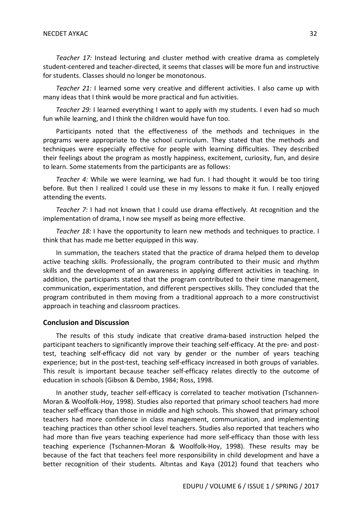*Teacher 17:* Instead lecturing and cluster method with creative drama as completely student-centered and teacher-directed, it seems that classes will be more fun and instructive for students. Classes should no longer be monotonous.

*Teacher 21:* I learned some very creative and different activities. I also came up with many ideas that I think would be more practical and fun activities.

*Teacher 29:* I learned everything I want to apply with my students. I even had so much fun while learning, and I think the children would have fun too.

Participants noted that the effectiveness of the methods and techniques in the programs were appropriate to the school curriculum. They stated that the methods and techniques were especially effective for people with learning difficulties. They described their feelings about the program as mostly happiness, excitement, curiosity, fun, and desire to learn. Some statements from the participants are as follows:

*Teacher 4:* While we were learning, we had fun. I had thought it would be too tiring before. But then I realized I could use these in my lessons to make it fun. I really enjoyed attending the events.

*Teacher 7:* I had not known that I could use drama effectively. At recognition and the implementation of drama, I now see myself as being more effective.

*Teacher 18:* I have the opportunity to learn new methods and techniques to practice. I think that has made me better equipped in this way.

In summation, the teachers stated that the practice of drama helped them to develop active teaching skills. Professionally, the program contributed to their music and rhythm skills and the development of an awareness in applying different activities in teaching. In addition, the participants stated that the program contributed to their time management, communication, experimentation, and different perspectives skills. They concluded that the program contributed in them moving from a traditional approach to a more constructivist approach in teaching and classroom practices.

#### **Conclusion and Discussion**

The results of this study indicate that creative drama-based instruction helped the participant teachers to significantly improve their teaching self-efficacy. At the pre- and posttest, teaching self-efficacy did not vary by gender or the number of years teaching experience; but in the post-test, teaching self-efficacy increased in both groups of variables. This result is important because teacher self-efficacy relates directly to the outcome of education in schools (Gibson & Dembo, 1984; Ross, 1998.

In another study, teacher self-efficacy is correlated to teacher motivation (Tschannen-Moran & Woolfolk-Hoy, 1998). Studies also reported that primary school teachers had more teacher self-efficacy than those in middle and high schools. This showed that primary school teachers had more confidence in class management, communication, and implementing teaching practices than other school level teachers. Studies also reported that teachers who had more than five years teaching experience had more self-efficacy than those with less teaching experience (Tschannen-Moran & Woolfolk-Hoy, 1998). These results may be because of the fact that teachers feel more responsibility in child development and have a better recognition of their students. Altıntas and Kaya (2012) found that teachers who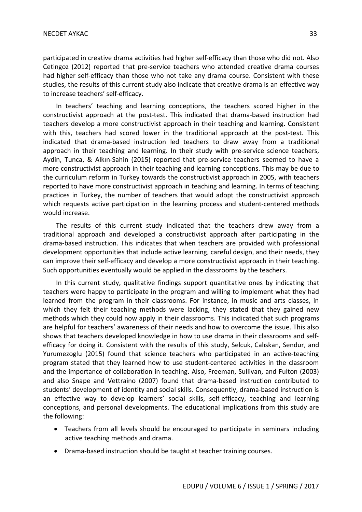participated in creative drama activities had higher self-efficacy than those who did not. Also Cetingoz (2012) reported that pre-service teachers who attended creative drama courses had higher self-efficacy than those who not take any drama course. Consistent with these studies, the results of this current study also indicate that creative drama is an effective way to increase teachers' self-efficacy.

In teachers' teaching and learning conceptions, the teachers scored higher in the constructivist approach at the post-test. This indicated that drama-based instruction had teachers develop a more constructivist approach in their teaching and learning. Consistent with this, teachers had scored lower in the traditional approach at the post-test. This indicated that drama-based instruction led teachers to draw away from a traditional approach in their teaching and learning. In their study with pre-service science teachers, Aydin, Tunca, & Alkın-Sahin (2015) reported that pre-service teachers seemed to have a more constructivist approach in their teaching and learning conceptions. This may be due to the curriculum reform in Turkey towards the constructivist approach in 2005, with teachers reported to have more constructivist approach in teaching and learning. In terms of teaching practices in Turkey, the number of teachers that would adopt the constructivist approach which requests active participation in the learning process and student-centered methods would increase.

The results of this current study indicated that the teachers drew away from a traditional approach and developed a constructivist approach after participating in the drama-based instruction. This indicates that when teachers are provided with professional development opportunities that include active learning, careful design, and their needs, they can improve their self-efficacy and develop a more constructivist approach in their teaching. Such opportunities eventually would be applied in the classrooms by the teachers.

In this current study, qualitative findings support quantitative ones by indicating that teachers were happy to participate in the program and willing to implement what they had learned from the program in their classrooms. For instance, in music and arts classes, in which they felt their teaching methods were lacking, they stated that they gained new methods which they could now apply in their classrooms. This indicated that such programs are helpful for teachers' awareness of their needs and how to overcome the issue. This also shows that teachers developed knowledge in how to use drama in their classrooms and selfefficacy for doing it. Consistent with the results of this study, Selcuk, Calıskan, Sendur, and Yurumezoglu (2015) found that science teachers who participated in an active-teaching program stated that they learned how to use student-centered activities in the classroom and the importance of collaboration in teaching. Also, Freeman, Sullivan, and Fulton (2003) and also Snape and Vettraino (2007) found that drama-based instruction contributed to students' development of identity and social skills. Consequently, drama-based instruction is an effective way to develop learners' social skills, self-efficacy, teaching and learning conceptions, and personal developments. The educational implications from this study are the following:

- Teachers from all levels should be encouraged to participate in seminars including active teaching methods and drama.
- Drama-based instruction should be taught at teacher training courses.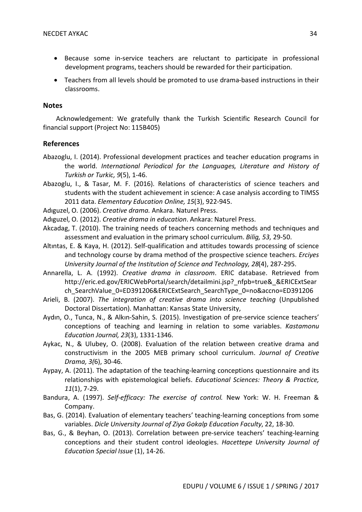- Because some in-service teachers are reluctant to participate in professional development programs, teachers should be rewarded for their participation.
- Teachers from all levels should be promoted to use drama-based instructions in their classrooms.

#### **Notes**

Acknowledgement: We gratefully thank the Turkish Scientific Research Council for financial support (Project No: 115B405)

## **References**

- Abazoglu, I. (2014). Professional development practices and teacher education programs in the world. *International Periodical for the Languages, Literature and History of Turkish or Turkic, 9*(5), 1-46.
- Abazoglu, I., & Tasar, M. F. (2016). Relations of characteristics of science teachers and students with the student achievement in science: A case analysis according to TIMSS 2011 data. *Elementary Education Online, 15*(3), 922-945.
- Adıguzel, O. (2006). *Creative drama.* Ankara. Naturel Press.
- Adıguzel, O. (2012). *Creative drama in education*. Ankara: Naturel Press.
- Akcadag, T. (2010). The training needs of teachers concerning methods and techniques and assessment and evaluation in the primary school curriculum. *Bilig, 53,* 29-50.
- Altıntas, E. & Kaya, H. (2012). Self-qualification and attitudes towards processing of science and technology course by drama method of the prospective science teachers. *Erciyes University Journal of the Institution of Science and Technology, 28*(4), 287-295.
- Annarella, L. A. (1992). *Creative drama in classroom*. ERIC database. Retrieved from http://eric.ed.gov/ERICWebPortal/search/detailmini.jsp?\_nfpb=true&\_&ERICExtSear ch SearchValue 0=ED391206&ERICExtSearch SearchType 0=no&accno=ED391206
- Arieli, B. (2007). *The integration of creative drama into science teaching* (Unpublished Doctoral Dissertation). Manhattan: Kansas State University,
- Aydın, O., Tunca, N., & Alkın-Sahin, S. (2015). Investigation of pre-service science teachers' conceptions of teaching and learning in relation to some variables. *Kastamonu Education Journal, 23*(3), 1331-1346.
- Aykac, N., & Ulubey, O. (2008). Evaluation of the relation between creative drama and constructivism in the 2005 MEB primary school curriculum. *Journal of Creative Drama, 3(*6), 30-46.
- Aypay, A. (2011). The adaptation of the teaching-learning conceptions questionnaire and its relationships with epistemological beliefs. *Educational Sciences: Theory & Practice, 11*(1), 7-29.
- Bandura, A. (1997). *Self-efficacy: The exercise of control.* New York: W. H. Freeman & Company.
- Bas, G. (2014). Evaluation of elementary teachers' teaching-learning conceptions from some variables. *Dicle University Journal of Ziya Gokalp Education Faculty*, 22, 18-30.
- Bas, G., & Beyhan, O. (2013). Correlation between pre-service teachers' teaching-learning conceptions and their student control ideologies. *Hacettepe University Journal of Education Special Issue* (1), 14-26.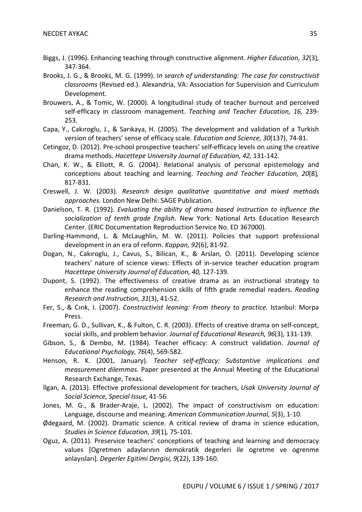- Biggs, J. (1996). Enhancing teaching through constructive alignment. *Higher Education, 32*(3)*,* 347-364.
- Brooks, J. G., & Brooks, M. G. (1999). I*n search of understanding: The case for constructivist classrooms* (Revised ed.). Alexandria, VA: Association for Supervision and Curriculum Development.
- Brouwers, A., & Tomic, W. (2000). A longitudinal study of teacher burnout and perceived self-efficacy in classroom management. *Teaching and Teacher Education, 16,* 239- 253.
- Capa, Y., Cakıroglu, J., & Sarıkaya, H. (2005). The development and validation of a Turkish version of teachers' sense of efficacy scale. *Education and Science, 30*(137), 74-81.
- Cetingoz, D. (2012). Pre-school prospective teachers' self-efficacy levels on using the creative drama methods. *Hacettepe University Journal of Education, 42,* 131-142.
- Chan, K. W., & Elliott, R. G. (2004). Relational analysis of personal epistemology and conceptions about teaching and learning. *Teaching and Teacher Education, 20*(8)*,* 817-831.
- Creswell, J. W. (2003). *Research design qualitative quantitative and mixed methods approaches.* London New Delhi: SAGE Publication.
- Danielson, T. R. (1992). *Evaluating the ability of drama based instruction to influence the socialization of tenth grade English*. New York: National Arts Education Research Center. (ERIC Documentation Reproduction Service No. ED 367000).
- Darling-Hammond, L. & McLaughlin, M. W. (2011). Policies that support professional development in an era of reform. *Kappan, 92*(6), 81-92.
- Dogan, N., Cakıroglu, J., Cavus, S., Bilican, K., & Arslan, O. (2011). Developing science teachers' nature of science views: Effects of in-service teacher education program *Hacettepe University Journal of Education, 40,* 127-139.
- Dupont, S. (1992). The effectiveness of creative drama as an instructional strategy to enhance the reading comprehension skills of fifth grade remedial readers. *Reading Research and Instruction, 31*(3), 41-52.
- Fer, S., & Cırık, I. (2007). *Constructivist leaning: From theory to practice.* Istanbul: Morpa Press.
- Freeman, G. D., Sullivan, K., & Fulton, C. R. (2003). Effects of creative drama on self-concept, social skills, and problem behavior. *Journal of Educational Research, 96*(3)*,* 131-139.
- Gibson, S., & Dembo, M. (1984). Teacher efficacy: A construct validation. *Journal of Educational Psychology, 76*(4), 569-582.
- Henson, R. K. (2001, January). *Teacher self-efficacy: Substantive implications and measurement dilemmas.* Paper presented at the Annual Meeting of the Educational Research Exchange, Texas.
- İlgan, A. (2013). Effective professional development for teachers, *Usak University Journal of Social Science, Special Issue,* 41-56.
- Jones, M. G., & Brader-Araje, L. (2002). The impact of constructivism on education: Language, discourse and meaning. *American Communication Journal, 5*(3), 1-10.
- Ødegaard, M. (2002). Dramatic science. A critical review of drama in science education, *Studies in Science Education, 39*(1)*,* 75-101.
- Oguz, A. (2011). Preservice teachers' conceptions of teaching and learning and democracy values [Ogretmen adaylarının demokratik degerleri ile ogretme ve ogrenme anlayısları]. *Degerler Egitimi Dergisi, 9*(22), 139-160.